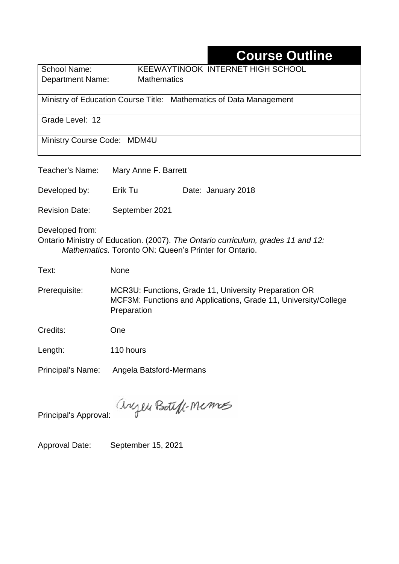# **Course Outline**

Department Name:Mathematics

School Name: KEEWAYTINOOK INTERNET HIGH SCHOOL

Ministry of Education Course Title:Mathematics of Data Management

Grade Level: 12

Ministry Course Code: MDM4U

| Teacher's Name:                                                                                                                                              | Mary Anne F. Barrett    |                                                                                                                          |  |  |  |
|--------------------------------------------------------------------------------------------------------------------------------------------------------------|-------------------------|--------------------------------------------------------------------------------------------------------------------------|--|--|--|
| Developed by:                                                                                                                                                | Erik Tu                 | Date: January 2018                                                                                                       |  |  |  |
| <b>Revision Date:</b>                                                                                                                                        | September 2021          |                                                                                                                          |  |  |  |
| Developed from:<br>Ontario Ministry of Education. (2007). The Ontario curriculum, grades 11 and 12:<br>Mathematics. Toronto ON: Queen's Printer for Ontario. |                         |                                                                                                                          |  |  |  |
| Text:                                                                                                                                                        | None                    |                                                                                                                          |  |  |  |
| Prerequisite:                                                                                                                                                | Preparation             | MCR3U: Functions, Grade 11, University Preparation OR<br>MCF3M: Functions and Applications, Grade 11, University/College |  |  |  |
| Credits:                                                                                                                                                     | One                     |                                                                                                                          |  |  |  |
| Length:                                                                                                                                                      | 110 hours               |                                                                                                                          |  |  |  |
| <b>Principal's Name:</b>                                                                                                                                     | Angela Batsford-Mermans |                                                                                                                          |  |  |  |
|                                                                                                                                                              |                         |                                                                                                                          |  |  |  |

Principal's Approval:

anyen Boteff-Memos

Approval Date: September 15, 2021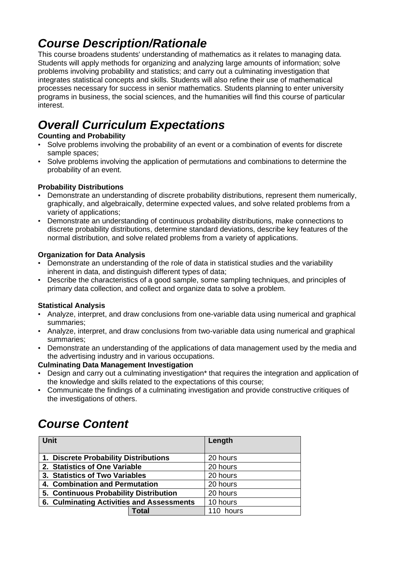### *Course Description/Rationale*

This course broadens students' understanding of mathematics as it relates to managing data. Students will apply methods for organizing and analyzing large amounts of information; solve problems involving probability and statistics; and carry out a culminating investigation that integrates statistical concepts and skills. Students will also refine their use of mathematical processes necessary for success in senior mathematics. Students planning to enter university programs in business, the social sciences, and the humanities will find this course of particular interest.

## *Overall Curriculum Expectations*

#### **Counting and Probability**

- Solve problems involving the probability of an event or a combination of events for discrete sample spaces;
- Solve problems involving the application of permutations and combinations to determine the probability of an event.

#### **Probability Distributions**

- Demonstrate an understanding of discrete probability distributions, represent them numerically, graphically, and algebraically, determine expected values, and solve related problems from a variety of applications;
- Demonstrate an understanding of continuous probability distributions, make connections to discrete probability distributions, determine standard deviations, describe key features of the normal distribution, and solve related problems from a variety of applications.

#### **Organization for Data Analysis**

- Demonstrate an understanding of the role of data in statistical studies and the variability inherent in data, and distinguish different types of data;
- Describe the characteristics of a good sample, some sampling techniques, and principles of primary data collection, and collect and organize data to solve a problem.

#### **Statistical Analysis**

- Analyze, interpret, and draw conclusions from one-variable data using numerical and graphical summaries;
- Analyze, interpret, and draw conclusions from two-variable data using numerical and graphical summaries;
- Demonstrate an understanding of the applications of data management used by the media and the advertising industry and in various occupations.

#### **Culminating Data Management Investigation**

- Design and carry out a culminating investigation\* that requires the integration and application of the knowledge and skills related to the expectations of this course;
- Communicate the findings of a culminating investigation and provide constructive critiques of the investigations of others.

# *Course Content*

| <b>Unit</b>                               |          | Length    |
|-------------------------------------------|----------|-----------|
| 1. Discrete Probability Distributions     | 20 hours |           |
| 2. Statistics of One Variable             |          | 20 hours  |
| 3. Statistics of Two Variables            |          | 20 hours  |
| 4. Combination and Permutation            |          | 20 hours  |
| 5. Continuous Probability Distribution    |          | 20 hours  |
| 6. Culminating Activities and Assessments |          | 10 hours  |
|                                           | Total    | 110 hours |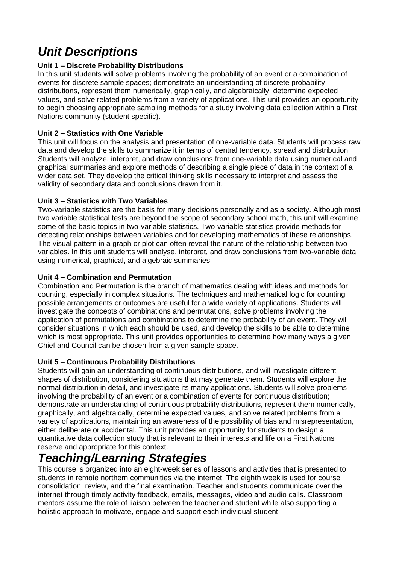## *Unit Descriptions*

#### **Unit 1 – Discrete Probability Distributions**

In this unit students will solve problems involving the probability of an event or a combination of events for discrete sample spaces; demonstrate an understanding of discrete probability distributions, represent them numerically, graphically, and algebraically, determine expected values, and solve related problems from a variety of applications. This unit provides an opportunity to begin choosing appropriate sampling methods for a study involving data collection within a First Nations community (student specific).

#### **Unit 2 – Statistics with One Variable**

This unit will focus on the analysis and presentation of one-variable data. Students will process raw data and develop the skills to summarize it in terms of central tendency, spread and distribution. Students will analyze, interpret, and draw conclusions from one-variable data using numerical and graphical summaries and explore methods of describing a single piece of data in the context of a wider data set. They develop the critical thinking skills necessary to interpret and assess the validity of secondary data and conclusions drawn from it.

#### **Unit 3 – Statistics with Two Variables**

Two-variable statistics are the basis for many decisions personally and as a society. Although most two variable statistical tests are beyond the scope of secondary school math, this unit will examine some of the basic topics in two-variable statistics. Two-variable statistics provide methods for detecting relationships between variables and for developing mathematics of these relationships. The visual pattern in a graph or plot can often reveal the nature of the relationship between two variables. In this unit students will analyse, interpret, and draw conclusions from two-variable data using numerical, graphical, and algebraic summaries.

#### **Unit 4 – Combination and Permutation**

Combination and Permutation is the branch of mathematics dealing with ideas and methods for counting, especially in complex situations. The techniques and mathematical logic for counting possible arrangements or outcomes are useful for a wide variety of applications. Students will investigate the concepts of combinations and permutations, solve problems involving the application of permutations and combinations to determine the probability of an event. They will consider situations in which each should be used, and develop the skills to be able to determine which is most appropriate. This unit provides opportunities to determine how many ways a given Chief and Council can be chosen from a given sample space.

#### **Unit 5 – Continuous Probability Distributions**

Students will gain an understanding of continuous distributions, and will investigate different shapes of distribution, considering situations that may generate them. Students will explore the normal distribution in detail, and investigate its many applications. Students will solve problems involving the probability of an event or a combination of events for continuous distribution; demonstrate an understanding of continuous probability distributions, represent them numerically, graphically, and algebraically, determine expected values, and solve related problems from a variety of applications, maintaining an awareness of the possibility of bias and misrepresentation, either deliberate or accidental. This unit provides an opportunity for students to design a quantitative data collection study that is relevant to their interests and life on a First Nations reserve and appropriate for this context.

### *Teaching/Learning Strategies*

This course is organized into an eight-week series of lessons and activities that is presented to students in remote northern communities via the internet. The eighth week is used for course consolidation, review, and the final examination. Teacher and students communicate over the internet through timely activity feedback, emails, messages, video and audio calls. Classroom mentors assume the role of liaison between the teacher and student while also supporting a holistic approach to motivate, engage and support each individual student.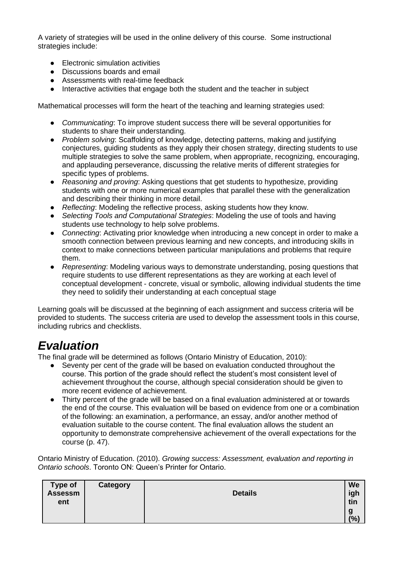A variety of strategies will be used in the online delivery of this course. Some instructional strategies include:

- Electronic simulation activities
- Discussions boards and email
- Assessments with real-time feedback
- Interactive activities that engage both the student and the teacher in subject

Mathematical processes will form the heart of the teaching and learning strategies used:

- *Communicating*: To improve student success there will be several opportunities for students to share their understanding.
- *Problem solving*: Scaffolding of knowledge, detecting patterns, making and justifying conjectures, guiding students as they apply their chosen strategy, directing students to use multiple strategies to solve the same problem, when appropriate, recognizing, encouraging, and applauding perseverance, discussing the relative merits of different strategies for specific types of problems.
- *Reasoning and proving*: Asking questions that get students to hypothesize, providing students with one or more numerical examples that parallel these with the generalization and describing their thinking in more detail.
- *Reflecting*: Modeling the reflective process, asking students how they know.
- Selecting Tools and Computational Strategies: Modeling the use of tools and having students use technology to help solve problems.
- *Connecting*: Activating prior knowledge when introducing a new concept in order to make a smooth connection between previous learning and new concepts, and introducing skills in context to make connections between particular manipulations and problems that require them.
- *Representing*: Modeling various ways to demonstrate understanding, posing questions that require students to use different representations as they are working at each level of conceptual development - concrete, visual or symbolic, allowing individual students the time they need to solidify their understanding at each conceptual stage

Learning goals will be discussed at the beginning of each assignment and success criteria will be provided to students. The success criteria are used to develop the assessment tools in this course, including rubrics and checklists.

### *Evaluation*

The final grade will be determined as follows (Ontario Ministry of Education, 2010):

- Seventy per cent of the grade will be based on evaluation conducted throughout the course. This portion of the grade should reflect the student's most consistent level of achievement throughout the course, although special consideration should be given to more recent evidence of achievement.
- Thirty percent of the grade will be based on a final evaluation administered at or towards the end of the course. This evaluation will be based on evidence from one or a combination of the following: an examination, a performance, an essay, and/or another method of evaluation suitable to the course content. The final evaluation allows the student an opportunity to demonstrate comprehensive achievement of the overall expectations for the course (p. 47).

Ontario Ministry of Education. (2010). *Growing success: Assessment, evaluation and reporting in Ontario schools*. Toronto ON: Queen's Printer for Ontario.

| Type of<br><b>Assessm</b><br>ent | <b>Category</b> | <b>Details</b> | We<br>igh<br>tin<br>g |
|----------------------------------|-----------------|----------------|-----------------------|
|                                  |                 |                | (%)                   |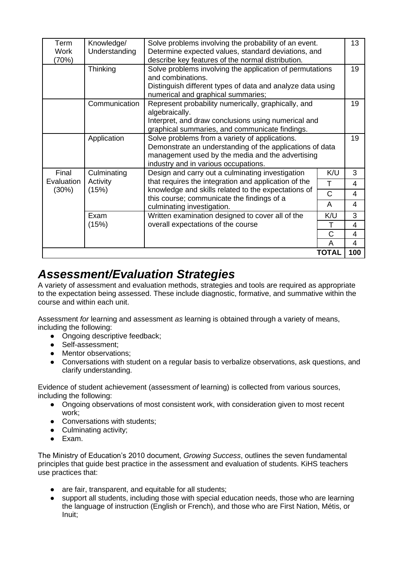| Term        | Knowledge/<br>Solve problems involving the probability of an event. |                                                                                                       |                   | 13             |
|-------------|---------------------------------------------------------------------|-------------------------------------------------------------------------------------------------------|-------------------|----------------|
| <b>Work</b> | Understanding                                                       | Determine expected values, standard deviations, and                                                   |                   |                |
| (70%)       |                                                                     | describe key features of the normal distribution.                                                     |                   |                |
|             | Thinking                                                            | Solve problems involving the application of permutations                                              |                   |                |
|             |                                                                     | and combinations.<br>Distinguish different types of data and analyze data using                       |                   |                |
|             |                                                                     |                                                                                                       |                   |                |
|             |                                                                     | numerical and graphical summaries;                                                                    |                   |                |
|             | Communication                                                       | Represent probability numerically, graphically, and                                                   |                   | 19             |
|             |                                                                     | algebraically.                                                                                        |                   |                |
|             |                                                                     | Interpret, and draw conclusions using numerical and<br>graphical summaries, and communicate findings. |                   |                |
|             | Application                                                         | Solve problems from a variety of applications.                                                        |                   | 19             |
|             |                                                                     | Demonstrate an understanding of the applications of data                                              |                   |                |
|             |                                                                     | management used by the media and the advertising                                                      |                   |                |
|             |                                                                     | industry and in various occupations.                                                                  |                   |                |
| Final       | Culminating                                                         | Design and carry out a culminating investigation                                                      | K/U               | 3              |
| Evaluation  | Activity                                                            | that requires the integration and application of the                                                  |                   |                |
| (30%)       | (15%)                                                               | knowledge and skills related to the expectations of                                                   | T<br>$\mathsf{C}$ | 4              |
|             |                                                                     | this course; communicate the findings of a                                                            |                   | 4              |
|             |                                                                     | culminating investigation.                                                                            | A                 | 4              |
|             | Exam                                                                | Written examination designed to cover all of the                                                      | K/U               | 3              |
|             | (15%)                                                               | overall expectations of the course                                                                    | Τ                 | 4              |
|             |                                                                     |                                                                                                       | C                 | 4              |
|             |                                                                     |                                                                                                       | A                 | $\overline{4}$ |
|             |                                                                     |                                                                                                       | <b>TOTAL</b>      | 100            |

### *Assessment/Evaluation Strategies*

A variety of assessment and evaluation methods, strategies and tools are required as appropriate to the expectation being assessed. These include diagnostic, formative, and summative within the course and within each unit.

Assessment *for* learning and assessment *as* learning is obtained through a variety of means, including the following:

- Ongoing descriptive feedback:
- Self-assessment;
- Mentor observations;
- Conversations with student on a regular basis to verbalize observations, ask questions, and clarify understanding.

Evidence of student achievement (assessment *of* learning) is collected from various sources, including the following:

- Ongoing observations of most consistent work, with consideration given to most recent work;
- Conversations with students:
- Culminating activity:
- Exam.

The Ministry of Education's 2010 document, *Growing Success*, outlines the seven fundamental principles that guide best practice in the assessment and evaluation of students. KiHS teachers use practices that:

- are fair, transparent, and equitable for all students;
- support all students, including those with special education needs, those who are learning the language of instruction (English or French), and those who are First Nation, Métis, or Inuit;